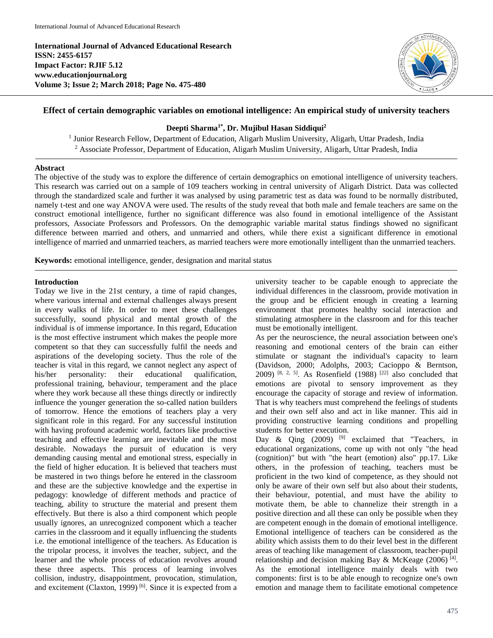**International Journal of Advanced Educational Research ISSN: 2455-6157 Impact Factor: RJIF 5.12 www.educationjournal.org Volume 3; Issue 2; March 2018; Page No. 475-480**



# **Effect of certain demographic variables on emotional intelligence: An empirical study of university teachers**

## **Deepti Sharma1\* , Dr. Mujibul Hasan Siddiqui<sup>2</sup>**

<sup>1</sup> Junior Research Fellow, Department of Education, Aligarh Muslim University, Aligarh, Uttar Pradesh, India <sup>2</sup> Associate Professor, Department of Education, Aligarh Muslim University, Aligarh, Uttar Pradesh, India

#### **Abstract**

The objective of the study was to explore the difference of certain demographics on emotional intelligence of university teachers. This research was carried out on a sample of 109 teachers working in central university of Aligarh District. Data was collected through the standardized scale and further it was analysed by using parametric test as data was found to be normally distributed, namely t-test and one way ANOVA were used. The results of the study reveal that both male and female teachers are same on the construct emotional intelligence, further no significant difference was also found in emotional intelligence of the Assistant professors, Associate Professors and Professors. On the demographic variable marital status findings showed no significant difference between married and others, and unmarried and others, while there exist a significant difference in emotional intelligence of married and unmarried teachers, as married teachers were more emotionally intelligent than the unmarried teachers.

**Keywords:** emotional intelligence, gender, designation and marital status

#### **Introduction**

Today we live in the 21st century, a time of rapid changes, where various internal and external challenges always present in every walks of life. In order to meet these challenges successfully, sound physical and mental growth of the individual is of immense importance. In this regard, Education is the most effective instrument which makes the people more competent so that they can successfully fulfil the needs and aspirations of the developing society. Thus the role of the teacher is vital in this regard, we cannot neglect any aspect of his/her personality: their educational qualification, professional training, behaviour, temperament and the place where they work because all these things directly or indirectly influence the younger generation the so-called nation builders of tomorrow. Hence the emotions of teachers play a very significant role in this regard. For any successful institution with having profound academic world, factors like productive teaching and effective learning are inevitable and the most desirable. Nowadays the pursuit of education is very demanding causing mental and emotional stress, especially in the field of higher education. It is believed that teachers must be mastered in two things before he entered in the classroom and these are the subjective knowledge and the expertise in pedagogy: knowledge of different methods and practice of teaching, ability to structure the material and present them effectively. But there is also a third component which people usually ignores, an unrecognized component which a teacher carries in the classroom and it equally influencing the students i.e. the emotional intelligence of the teachers. As Education is the tripolar process, it involves the teacher, subject, and the learner and the whole process of education revolves around these three aspects. This process of learning involves collision, industry, disappointment, provocation, stimulation, and excitement (Claxton, 1999)<sup>[6]</sup>. Since it is expected from a university teacher to be capable enough to appreciate the individual differences in the classroom, provide motivation in the group and be efficient enough in creating a learning environment that promotes healthy social interaction and stimulating atmosphere in the classroom and for this teacher must be emotionally intelligent.

As per the neuroscience, the neural association between one's reasoning and emotional centers of the brain can either stimulate or stagnant the individual's capacity to learn (Davidson, 2000; Adolphs, 2003; Cacioppo & Berntson, 2009) <sup>[8, 2, 5]</sup>. As Rosenfield (1988) <sup>[22]</sup> also concluded that emotions are pivotal to sensory improvement as they encourage the capacity of storage and review of information. That is why teachers must comprehend the feelings of students and their own self also and act in like manner. This aid in providing constructive learning conditions and propelling students for better execution.

Day & Qing  $(2009)$  <sup>[9]</sup> exclaimed that "Teachers, in educational organizations, come up with not only "the head (cognition)" but with "the heart (emotion) also" pp.17. Like others, in the profession of teaching, teachers must be proficient in the two kind of competence, as they should not only be aware of their own self but also about their students, their behaviour, potential, and must have the ability to motivate them, be able to channelize their strength in a positive direction and all these can only be possible when they are competent enough in the domain of emotional intelligence. Emotional intelligence of teachers can be considered as the ability which assists them to do their level best in the different areas of teaching like management of classroom, teacher-pupil relationship and decision making Bay & McKeage  $(2006)$ <sup>[4]</sup>. As the emotional intelligence mainly deals with two components: first is to be able enough to recognize one's own emotion and manage them to facilitate emotional competence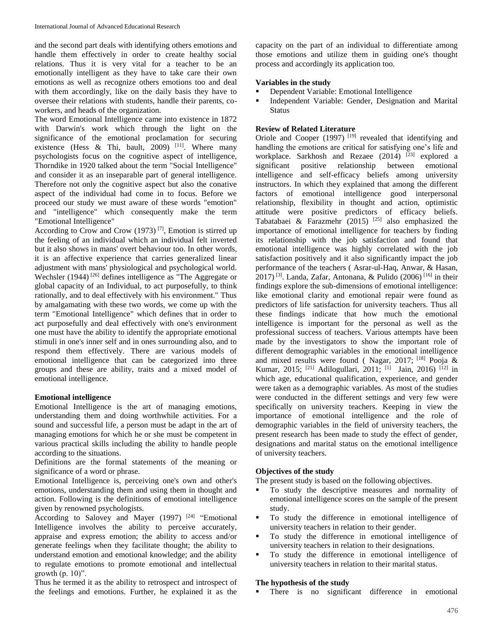and the second part deals with identifying others emotions and handle them effectively in order to create healthy social relations. Thus it is very vital for a teacher to be an emotionally intelligent as they have to take care their own emotions as well as recognize others emotions too and deal with them accordingly, like on the daily basis they have to oversee their relations with students, handle their parents, coworkers, and heads of the organization.

The word Emotional Intelligence came into existence in 1872 with Darwin's work which through the light on the significance of the emotional proclamation for securing existence (Hess & Thi, bault, 2009)  $[11]$ . Where many psychologists focus on the cognitive aspect of intelligence, Thorndike in 1920 talked about the term "Social Intelligence" and consider it as an inseparable part of general intelligence. Therefore not only the cognitive aspect but also the conative aspect of the individual had come in to focus. Before we proceed our study we must aware of these words "emotion" and "intelligence" which consequently make the term "Emotional Intelligence"

According to Crow and Crow (1973)<sup>[7]</sup>, Emotion is stirred up the feeling of an individual which an individual felt inverted but it also shows in mans' overt behaviour too. In other words, it is an affective experience that carries generalized linear adjustment with mans' physiological and psychological world. Wechsler (1944)<sup>[26]</sup> defines intelligence as "The Aggregate or global capacity of an Individual, to act purposefully, to think rationally, and to deal effectively with his environment." Thus by amalgamating with these two words, we come up with the term "Emotional Intelligence" which defines that in order to act purposefully and deal effectively with one's environment one must have the ability to identify the appropriate emotional stimuli in one's inner self and in ones surrounding also, and to respond them effectively. There are various models of emotional intelligence that can be categorized into three groups and these are ability, traits and a mixed model of emotional intelligence.

# **Emotional intelligence**

Emotional Intelligence is the art of managing emotions, understanding them and doing worthwhile activities. For a sound and successful life, a person must be adapt in the art of managing emotions for which he or she must be competent in various practical skills including the ability to handle people according to the situations.

Definitions are the formal statements of the meaning or significance of a word or phrase.

Emotional Intelligence is, perceiving one's own and other's emotions, understanding them and using them in thought and action. Following is the definitions of emotional intelligence given by renowned psychologists.

According to Salovey and Mayer  $(1997)$  <sup>[24]</sup> "Emotional Intelligence involves the ability to perceive accurately, appraise and express emotion; the ability to access and/or generate feelings when they facilitate thought; the ability to understand emotion and emotional knowledge; and the ability to regulate emotions to promote emotional and intellectual growth  $(p. 10)$ ".

Thus he termed it as the ability to retrospect and introspect of the feelings and emotions. Further, he explained it as the

capacity on the part of an individual to differentiate among those emotions and utilize them in guiding one's thought process and accordingly its application too.

# **Variables in the study**

- Dependent Variable: Emotional Intelligence
- Independent Variable: Gender, Designation and Marital **Status**

# **Review of Related Literature**

Oriole and Cooper (1997)<sup>[19]</sup> revealed that identifying and handling the emotions are critical for satisfying one's life and workplace. Sarkhosh and Rezaee  $(2014)$   $[23]$  explored a significant positive relationship between emotional intelligence and self-efficacy beliefs among university instructors. In which they explained that among the different factors of emotional intelligence good interpersonal relationship, flexibility in thought and action, optimistic attitude were positive predictors of efficacy beliefs. Tabatabaei & Farazmehr  $(2015)$ <sup>[25]</sup> also emphasized the importance of emotional intelligence for teachers by finding its relationship with the job satisfaction and found that emotional intelligence was highly correlated with the job satisfaction positively and it also significantly impact the job performance of the teachers ( Asrar-ul-Haq, Anwar, & Hasan, 2017) <sup>[3]</sup>. Landa, Zafar, Antonana, & Pulido (2006) <sup>[16]</sup> in their findings explore the sub-dimensions of emotional intelligence: like emotional clarity and emotional repair were found as predictors of life satisfaction for university teachers. Thus all these findings indicate that how much the emotional intelligence is important for the personal as well as the professional success of teachers. Various attempts have been made by the investigators to show the important role of different demographic variables in the emotional intelligence and mixed results were found ( Nagar, 2017; [18] Pooja & Kumar, 2015; <sup>[21]</sup> Adilogullari, 2011; <sup>[1]</sup> Jain, 2016) <sup>[12]</sup> in which age, educational qualification, experience, and gender were taken as a demographic variables. As most of the studies were conducted in the different settings and very few were specifically on university teachers. Keeping in view the importance of emotional intelligence and the role of demographic variables in the field of university teachers, the present research has been made to study the effect of gender, designations and marital status on the emotional intelligence of university teachers.

## **Objectives of the study**

The present study is based on the following objectives.

- To study the descriptive measures and normality of emotional intelligence scores on the sample of the present study.
- To study the difference in emotional intelligence of university teachers in relation to their gender.
- To study the difference in emotional intelligence of university teachers in relation to their designations.
- To study the difference in emotional intelligence of university teachers in relation to their marital status.

## **The hypothesis of the study**

There is no significant difference in emotional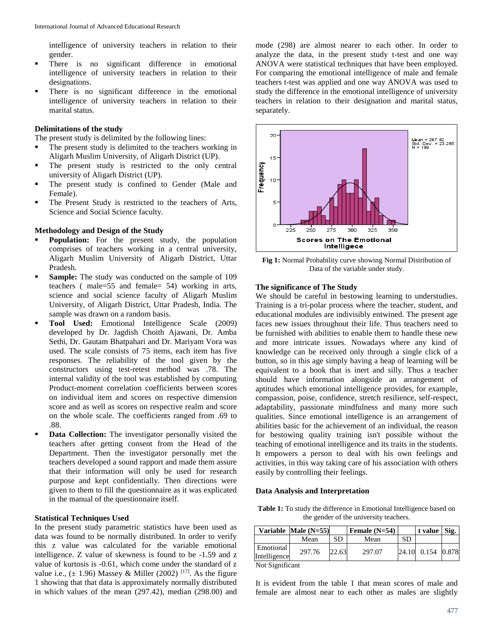intelligence of university teachers in relation to their gender.

- **There** is no significant difference in emotional intelligence of university teachers in relation to their designations.
- There is no significant difference in the emotional intelligence of university teachers in relation to their marital status.

## **Delimitations of the study**

The present study is delimited by the following lines:

- The present study is delimited to the teachers working in Aligarh Muslim University, of Aligarh District (UP).
- The present study is restricted to the only central university of Aligarh District (UP).
- **The present study is confined to Gender (Male and** Female).
- The Present Study is restricted to the teachers of Arts, Science and Social Science faculty.

## **Methodology and Design of the Study**

- Population: For the present study, the population comprises of teachers working in a central university, Aligarh Muslim University of Aligarh District, Uttar Pradesh.
- Sample: The study was conducted on the sample of 109 teachers ( male=55 and female= 54) working in arts, science and social science faculty of Aligarh Muslim University, of Aligarh District, Uttar Pradesh, India. The sample was drawn on a random basis.
- **Tool Used:** Emotional Intelligence Scale (2009) developed by Dr. Jagdish Choith Ajawani, Dr. Amba Sethi, Dr. Gautam Bhatpahari and Dr. Mariyam Vora was used. The scale consists of 75 items, each item has five responses. The reliability of the tool given by the constructors using test-retest method was .78. The internal validity of the tool was established by computing Product-moment correlation coefficients between scores on individual item and scores on respective dimension score and as well as scores on respective realm and score on the whole scale. The coefficients ranged from .69 to .88.
- **Data Collection:** The investigator personally visited the teachers after getting consent from the Head of the Department. Then the investigator personally met the teachers developed a sound rapport and made them assure that their information will only be used for research purpose and kept confidentially. Then directions were given to them to fill the questionnaire as it was explicated in the manual of the questionnaire itself.

#### **Statistical Techniques Used**

In the present study parametric statistics have been used as data was found to be normally distributed. In order to verify this z value was calculated for the variable emotional intelligence. Z value of skewness is found to be -1.59 and z value of kurtosis is -0.61, which come under the standard of z value i.e., ( $\pm$  1.96) Massey & Miller (2002) <sup>[17]</sup>. As the figure 1 showing that that data is approximately normally distributed in which values of the mean (297.42), median (298.00) and

mode (298) are almost nearer to each other. In order to analyze the data, in the present study t-test and one way ANOVA were statistical techniques that have been employed. For comparing the emotional intelligence of male and female teachers t-test was applied and one way ANOVA was used to study the difference in the emotional intelligence of university teachers in relation to their designation and marital status, separately.



**Fig 1:** Normal Probability curve showing Normal Distribution of Data of the variable under study.

#### **The significance of The Study**

We should be careful in bestowing learning to understudies. Training is a tri-polar process where the teacher, student, and educational modules are indivisibly entwined. The present age faces new issues throughout their life. Thus teachers need to be furnished with abilities to enable them to handle these new and more intricate issues. Nowadays where any kind of knowledge can be received only through a single click of a button, so in this age simply having a heap of learning will be equivalent to a book that is inert and silly. Thus a teacher should have information alongside an arrangement of aptitudes which emotional intelligence provides, for example, compassion, poise, confidence, stretch resilience, self-respect, adaptability, passionate mindfulness and many more such qualities. Since emotional intelligence is an arrangement of abilities basic for the achievement of an individual, the reason for bestowing quality training isn't possible without the teaching of emotional intelligence and its traits in the students. It empowers a person to deal with his own feelings and activities, in this way taking care of his association with others easily by controlling their feelings.

#### **Data Analysis and Interpretation**

Table 1: To study the difference in Emotional Intelligence based on the gender of the university teachers.

|                           | Variable Male $(N=55)$ |       | Female $(N=54)$ |    | t value Sig.      |  |  |
|---------------------------|------------------------|-------|-----------------|----|-------------------|--|--|
|                           | Mean                   | SD    | Mean            | SD |                   |  |  |
| Emotional<br>Intelligence | 297.76                 | 22.63 | 297.07          |    | 24.10 0.154 0.878 |  |  |
| Not Significant           |                        |       |                 |    |                   |  |  |

Not Significant

It is evident from the table 1 that mean scores of male and female are almost near to each other as males are slightly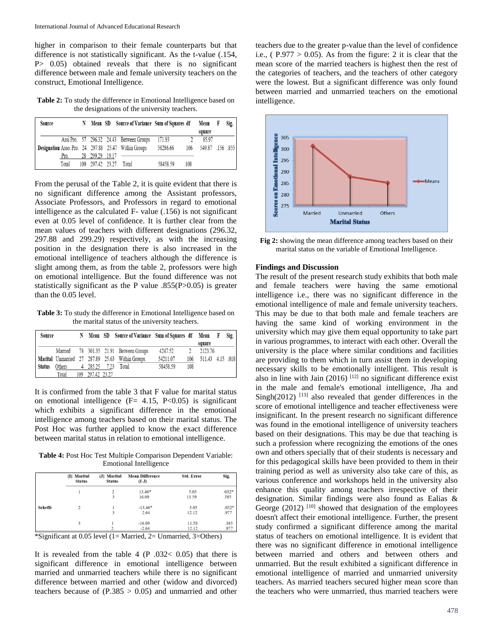higher in comparison to their female counterparts but that difference is not statistically significant. As the t-value (.154, P> 0.05) obtained reveals that there is no significant difference between male and female university teachers on the construct, Emotional Intelligence.

Table 2: To study the difference in Emotional Intelligence based on the designations of the university teachers.

| Source |                      |  | N Mean SD Source of Variance Sum of Squares df       |          |     | Mean F               | Sig. |
|--------|----------------------|--|------------------------------------------------------|----------|-----|----------------------|------|
|        |                      |  | Assi Pro. 57 296.32 24.43 Between Groups             | 171.93   |     | square<br>85.97      |      |
|        |                      |  | Designation Asso. Pro. 24 297.88 25.47 Within Groups | 58286.66 |     | 106 549.87 .156 .855 |      |
|        | Pro. 28 299.29 19.17 |  |                                                      |          |     |                      |      |
|        | Total                |  | 109 297.42 23.27 Total                               | 58458.59 | 108 |                      |      |

From the perusal of the Table 2, it is quite evident that there is no significant difference among the Assistant professors, Associate Professors, and Professors in regard to emotional intelligence as the calculated F- value (.156) is not significant even at 0.05 level of confidence. It is further clear from the mean values of teachers with different designations (296.32, 297.88 and 299.29) respectively, as with the increasing position in the designation there is also increased in the emotional intelligence of teachers although the difference is slight among them, as from the table 2, professors were high on emotional intelligence. But the found difference was not statistically significant as the P value  $.855(P>0.05)$  is greater than the 0.05 level.

Table 3: To study the difference in Emotional Intelligence based on the marital status of the university teachers.

| Source        |                            |                  | N Mean SD Source of Variance Sum of Squares df Mean F |          |     |                      | Sig. |
|---------------|----------------------------|------------------|-------------------------------------------------------|----------|-----|----------------------|------|
|               |                            |                  |                                                       |          |     | square               |      |
|               |                            |                  | Married 78 301.35 21.91 Between Groups                | 4247.52  |     | 2 2123.76            |      |
|               |                            |                  | Marital Unmarried 27 287.89 25.63 Within Groups       | 54211.07 |     | 106 511.43 4.15 .018 |      |
| <b>Status</b> | Others 4 285.25 7.23 Total |                  |                                                       | 58458.59 | 108 |                      |      |
|               | Total                      | 109 297.42 23.27 |                                                       |          |     |                      |      |

It is confirmed from the table 3 that F value for marital status on emotional intelligence  $(F= 4.15, P<0.05)$  is significant which exhibits a significant difference in the emotional intelligence among teachers based on their marital status. The Post Hoc was further applied to know the exact difference between marital status in relation to emotional intelligence.

**Table 4:** Post Hoc Test Multiple Comparison Dependent Variable: Emotional Intelligence

|         | (I) Marital<br><b>Status</b> | (J) Marital<br><b>Status</b> | <b>Mean Difference</b><br>$(I-J)$ | <b>Std. Error</b> | Sig.            |
|---------|------------------------------|------------------------------|-----------------------------------|-------------------|-----------------|
|         |                              | 2                            | 13.46*<br>16.09                   | 5.05<br>11.59     | $.032*$<br>.385 |
| Scheffe | 2                            |                              | $-13.46*$<br>2.64                 | 5.05<br>12.12     | $.032*$<br>.977 |
|         | 3                            |                              | $-16.09$<br>$-2.64$               | 11.59<br>12.12    | .385<br>.977    |

\*Significant at 0.05 level (1= Married, 2= Unmarried, 3=Others)

It is revealed from the table 4  $(P.032 < 0.05)$  that there is significant difference in emotional intelligence between married and unmarried teachers while there is no significant difference between married and other (widow and divorced) teachers because of  $(P.385 > 0.05)$  and unmarried and other

teachers due to the greater p-value than the level of confidence i.e., ( $P.977 > 0.05$ ). As from the figure: 2 it is clear that the mean score of the married teachers is highest then the rest of the categories of teachers, and the teachers of other category were the lowest. But a significant difference was only found between married and unmarried teachers on the emotional intelligence.



**Fig 2:** showing the mean difference among teachers based on their marital status on the variable of Emotional Intelligence.

#### **Findings and Discussion**

The result of the present research study exhibits that both male and female teachers were having the same emotional intelligence i.e., there was no significant difference in the emotional intelligence of male and female university teachers. This may be due to that both male and female teachers are having the same kind of working environment in the university which may give them equal opportunity to take part in various programmes, to interact with each other. Overall the university is the place where similar conditions and facilities are providing to them which in turn assist them in developing necessary skills to be emotionally intelligent. This result is also in line with Jain  $(2016)$ <sup>[12]</sup> no significant difference exist in the male and female's emotional intelligence, Jha and Singh $(2012)$ <sup>[13]</sup> also revealed that gender differences in the score of emotional intelligence and teacher effectiveness were insignificant. In the present research no significant difference was found in the emotional intelligence of university teachers based on their designations. This may be due that teaching is such a profession where recognizing the emotions of the ones own and others specially that of their students is necessary and for this pedagogical skills have been provided to them in their training period as well as university also take care of this, as various conference and workshops held in the university also enhance this quality among teachers irrespective of their designation. Similar findings were also found as Ealias & George  $(2012)$ <sup>[10]</sup> showed that designation of the employees doesn't affect their emotional intelligence. Further, the present study confirmed a significant difference among the marital status of teachers on emotional intelligence. It is evident that there was no significant difference in emotional intelligence between married and others and between others and unmarried. But the result exhibited a significant difference in emotional intelligence of married and unmarried university teachers. As married teachers secured higher mean score than the teachers who were unmarried, thus married teachers were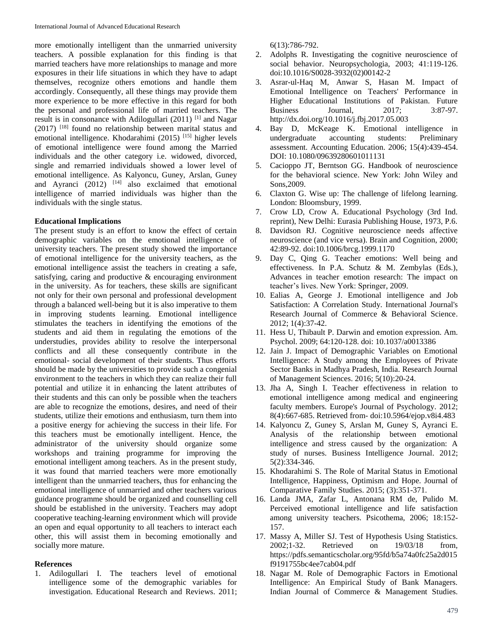more emotionally intelligent than the unmarried university teachers. A possible explanation for this finding is that married teachers have more relationships to manage and more exposures in their life situations in which they have to adapt themselves, recognize others emotions and handle them accordingly. Consequently, all these things may provide them more experience to be more effective in this regard for both the personal and professional life of married teachers. The result is in consonance with Adilogullari (2011) <sup>[1]</sup> and Nagar (2017) [18] found no relationship between marital status and emotional intelligence. Khodarahimi (2015) [15] higher levels of emotional intelligence were found among the Married individuals and the other category i.e. widowed, divorced, single and remarried individuals showed a lower level of emotional intelligence. As Kalyoncu, Guney, Arslan, Guney and Ayranci  $(2012)$ <sup>[14]</sup> also exclaimed that emotional intelligence of married individuals was higher than the individuals with the single status.

## **Educational Implications**

The present study is an effort to know the effect of certain demographic variables on the emotional intelligence of university teachers. The present study showed the importance of emotional intelligence for the university teachers, as the emotional intelligence assist the teachers in creating a safe, satisfying, caring and productive & encouraging environment in the university. As for teachers, these skills are significant not only for their own personal and professional development through a balanced well-being but it is also imperative to them in improving students learning. Emotional intelligence stimulates the teachers in identifying the emotions of the students and aid them in regulating the emotions of the understudies, provides ability to resolve the interpersonal conflicts and all these consequently contribute in the emotional- social development of their students. Thus efforts should be made by the universities to provide such a congenial environment to the teachers in which they can realize their full potential and utilize it in enhancing the latent attributes of their students and this can only be possible when the teachers are able to recognize the emotions, desires, and need of their students, utilize their emotions and enthusiasm, turn them into a positive energy for achieving the success in their life. For this teachers must be emotionally intelligent. Hence, the administrator of the university should organize some workshops and training programme for improving the emotional intelligent among teachers. As in the present study, it was found that married teachers were more emotionally intelligent than the unmarried teachers, thus for enhancing the emotional intelligence of unmarried and other teachers various guidance programme should be organized and counselling cell should be established in the university. Teachers may adopt cooperative teaching-learning environment which will provide an open and equal opportunity to all teachers to interact each other, this will assist them in becoming emotionally and socially more mature.

#### **References**

1. Adilogullari I. The teachers level of emotional intelligence some of the demographic variables for investigation. Educational Research and Reviews. 2011; 6(13):786-792.

- 2. Adolphs R. Investigating the cognitive neuroscience of social behavior. Neuropsychologia, 2003; 41:119-126. doi:10.1016/S0028-3932(02)00142-2
- 3. Asrar-ul-Haq M, Anwar S, Hasan M. Impact of Emotional Intelligence on Teachers' Performance in Higher Educational Institutions of Pakistan. Future Business Journal, 2017; 3:87-97. http://dx.doi.org/10.1016/j.fbj.2017.05.003
- 4. Bay D, McKeage K. Emotional intelligence in undergraduate accounting students: Preliminary assessment. Accounting Education. 2006; 15(4):439-454. DOI: 10.1080/09639280601011131
- 5. Cacioppo JT, Berntson GG. Handbook of neuroscience for the behavioral science. New York: John Wiley and Sons,2009.
- 6. Claxton G. Wise up: The challenge of lifelong learning. London: Bloomsbury, 1999.
- 7. Crow LD, Crow A. Educational Psychology (3rd Ind. reprint), New Delhi: Eurasia Publishing House, 1973, P.6.
- 8. Davidson RJ. Cognitive neuroscience needs affective neuroscience (and vice versa). Brain and Cognition, 2000; 42:89-92. doi:10.1006/brcg.1999.1170
- 9. Day C, Qing G. Teacher emotions: Well being and effectiveness. In P.A. Schutz & M. Zembylas (Eds.), Advances in teacher emotion research: The impact on teacher's lives. New York: Springer, 2009.
- 10. Ealias A, George J. Emotional intelligence and Job Satisfaction: A Correlation Study. International Journal's Research Journal of Commerce & Behavioral Science. 2012; 1(4):37-42.
- 11. Hess U, Thibault P. Darwin and emotion expression. Am. Psychol. 2009; 64:120-128. doi: 10.1037/a0013386
- 12. Jain J. Impact of Demographic Variables on Emotional Intelligence: A Study among the Employees of Private Sector Banks in Madhya Pradesh, India. Research Journal of Management Sciences. 2016; 5(10):20-24.
- 13. Jha A, Singh I. Teacher effectiveness in relation to emotional intelligence among medical and engineering faculty members. Europe's Journal of Psychology. 2012; 8(4):667-685. Retrieved from- doi:10.5964/ejop.v8i4.483
- 14. Kalyoncu Z, Guney S, Arslan M, Guney S, Ayranci E. Analysis of the relationship between emotional intelligence and stress caused by the organization: A study of nurses. Business Intelligence Journal. 2012; 5(2):334-346.
- 15. Khodarahimi S. The Role of Marital Status in Emotional Intelligence, Happiness, Optimism and Hope. Journal of Comparative Family Studies. 2015; (3):351-371.
- 16. Landa JMA, Zafar L, Antonana RM de, Pulido M. Perceived emotional intelligence and life satisfaction among university teachers. Psicothema, 2006; 18:152- 157.
- 17. Massy A, Miller SJ. Test of Hypothesis Using Statistics. 2002;1-32. Retrieved on 19/03/18 from, https://pdfs.semanticscholar.org/95fd/b5a74a0fc25a2d015 f9191755bc4ee7cab04.pdf
- 18. Nagar M. Role of Demographic Factors in Emotional Intelligence: An Empirical Study of Bank Managers. Indian Journal of Commerce & Management Studies.